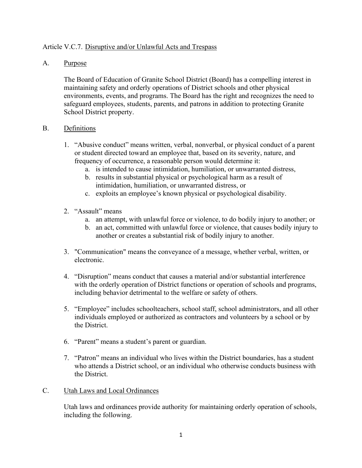# Article V.C.7. Disruptive and/or Unlawful Acts and Trespass

## A. Purpose

The Board of Education of Granite School District (Board) has a compelling interest in maintaining safety and orderly operations of District schools and other physical environments, events, and programs. The Board has the right and recognizes the need to safeguard employees, students, parents, and patrons in addition to protecting Granite School District property.

## B. Definitions

- 1. "Abusive conduct" means written, verbal, nonverbal, or physical conduct of a parent or student directed toward an employee that, based on its severity, nature, and frequency of occurrence, a reasonable person would determine it:
	- a. is intended to cause intimidation, humiliation, or unwarranted distress,
	- b. results in substantial physical or psychological harm as a result of intimidation, humiliation, or unwarranted distress, or
	- c. exploits an employee's known physical or psychological disability.
- 2. "Assault" means
	- a. an attempt, with unlawful force or violence, to do bodily injury to another; or
	- b. an act, committed with unlawful force or violence, that causes bodily injury to another or creates a substantial risk of bodily injury to another.
- 3. "Communication" means the conveyance of a message, whether verbal, written, or electronic.
- 4. "Disruption" means conduct that causes a material and/or substantial interference with the orderly operation of District functions or operation of schools and programs, including behavior detrimental to the welfare or safety of others.
- 5. "Employee" includes schoolteachers, school staff, school administrators, and all other individuals employed or authorized as contractors and volunteers by a school or by the District.
- 6. "Parent" means a student's parent or guardian.
- 7. "Patron" means an individual who lives within the District boundaries, has a student who attends a District school, or an individual who otherwise conducts business with the District.

### C. Utah Laws and Local Ordinances

Utah laws and ordinances provide authority for maintaining orderly operation of schools, including the following.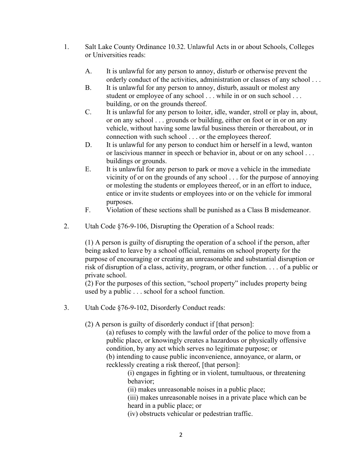- 1. Salt Lake County Ordinance 10.32. Unlawful Acts in or about Schools, Colleges or Universities reads:
	- A. It is unlawful for any person to annoy, disturb or otherwise prevent the orderly conduct of the activities, administration or classes of any school . . .
	- B. It is unlawful for any person to annoy, disturb, assault or molest any student or employee of any school . . . while in or on such school . . . building, or on the grounds thereof.
	- C. It is unlawful for any person to loiter, idle, wander, stroll or play in, about, or on any school . . . grounds or building, either on foot or in or on any vehicle, without having some lawful business therein or thereabout, or in connection with such school . . . or the employees thereof.
	- D. It is unlawful for any person to conduct him or herself in a lewd, wanton or lascivious manner in speech or behavior in, about or on any school . . . buildings or grounds.
	- E. It is unlawful for any person to park or move a vehicle in the immediate vicinity of or on the grounds of any school . . . for the purpose of annoying or molesting the students or employees thereof, or in an effort to induce, entice or invite students or employees into or on the vehicle for immoral purposes.
	- F. Violation of these sections shall be punished as a Class B misdemeanor.
- 2. Utah Code §76-9-106, Disrupting the Operation of a School reads:

(1) A person is guilty of disrupting the operation of a school if the person, after being asked to leave by a school official, remains on school property for the purpose of encouraging or creating an unreasonable and substantial disruption or risk of disruption of a class, activity, program, or other function. . . . of a public or private school.

(2) For the purposes of this section, "school property" includes property being used by a public . . . school for a school function.

3. Utah Code §76-9-102, Disorderly Conduct reads:

(2) A person is guilty of disorderly conduct if [that person]:

(a) refuses to comply with the lawful order of the police to move from a public place, or knowingly creates a hazardous or physically offensive condition, by any act which serves no legitimate purpose; or

(b) intending to cause public inconvenience, annoyance, or alarm, or recklessly creating a risk thereof, [that person]:

(i) engages in fighting or in violent, tumultuous, or threatening behavior;

(ii) makes unreasonable noises in a public place;

(iii) makes unreasonable noises in a private place which can be heard in a public place; or

(iv) obstructs vehicular or pedestrian traffic.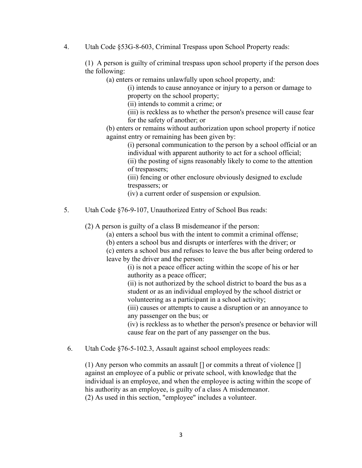4. Utah Code §53G-8-603, Criminal Trespass upon School Property reads:

(1) A person is guilty of criminal trespass upon school property if the person does the following:

(a) enters or remains unlawfully upon school property, and:

(i) intends to cause annoyance or injury to a person or damage to property on the school property;

(ii) intends to commit a crime; or

(iii) is reckless as to whether the person's presence will cause fear for the safety of another; or

(b) enters or remains without authorization upon school property if notice against entry or remaining has been given by:

> (i) personal communication to the person by a school official or an individual with apparent authority to act for a school official;

(ii) the posting of signs reasonably likely to come to the attention of trespassers;

(iii) fencing or other enclosure obviously designed to exclude trespassers; or

(iv) a current order of suspension or expulsion.

5. Utah Code §76-9-107, Unauthorized Entry of School Bus reads:

(2) A person is guilty of a class B misdemeanor if the person:

(a) enters a school bus with the intent to commit a criminal offense;

(b) enters a school bus and disrupts or interferes with the driver; or

(c) enters a school bus and refuses to leave the bus after being ordered to leave by the driver and the person:

(i) is not a peace officer acting within the scope of his or her authority as a peace officer;

(ii) is not authorized by the school district to board the bus as a student or as an individual employed by the school district or volunteering as a participant in a school activity;

(iii) causes or attempts to cause a disruption or an annoyance to any passenger on the bus; or

(iv) is reckless as to whether the person's presence or behavior will cause fear on the part of any passenger on the bus.

6. Utah Code §76-5-102.3, Assault against school employees reads:

(1) Any person who commits an assault [] or commits a threat of violence [] against an employee of a public or private school, with knowledge that the individual is an employee, and when the employee is acting within the scope of his authority as an employee, is guilty of a class A misdemeanor. (2) As used in this section, "employee" includes a volunteer.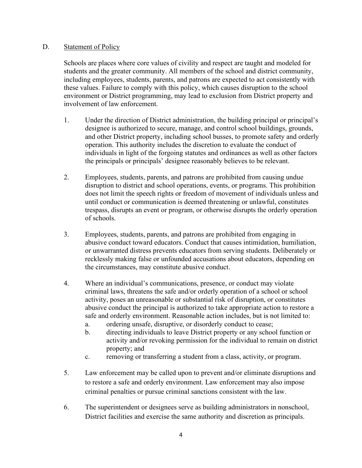## D. Statement of Policy

Schools are places where core values of civility and respect are taught and modeled for students and the greater community. All members of the school and district community, including employees, students, parents, and patrons are expected to act consistently with these values. Failure to comply with this policy, which causes disruption to the school environment or District programming, may lead to exclusion from District property and involvement of law enforcement.

- 1. Under the direction of District administration, the building principal or principal's designee is authorized to secure, manage, and control school buildings, grounds, and other District property, including school busses, to promote safety and orderly operation. This authority includes the discretion to evaluate the conduct of individuals in light of the forgoing statutes and ordinances as well as other factors the principals or principals' designee reasonably believes to be relevant.
- 2. Employees, students, parents, and patrons are prohibited from causing undue disruption to district and school operations, events, or programs. This prohibition does not limit the speech rights or freedom of movement of individuals unless and until conduct or communication is deemed threatening or unlawful, constitutes trespass, disrupts an event or program, or otherwise disrupts the orderly operation of schools.
- 3. Employees, students, parents, and patrons are prohibited from engaging in abusive conduct toward educators. Conduct that causes intimidation, humiliation, or unwarranted distress prevents educators from serving students. Deliberately or recklessly making false or unfounded accusations about educators, depending on the circumstances, may constitute abusive conduct.
- 4. Where an individual's communications, presence, or conduct may violate criminal laws, threatens the safe and/or orderly operation of a school or school activity, poses an unreasonable or substantial risk of disruption, or constitutes abusive conduct the principal is authorized to take appropriate action to restore a safe and orderly environment. Reasonable action includes, but is not limited to:
	- a. ordering unsafe, disruptive, or disorderly conduct to cease;
	- b. directing individuals to leave District property or any school function or activity and/or revoking permission for the individual to remain on district property; and
	- c. removing or transferring a student from a class, activity, or program.
- 5. Law enforcement may be called upon to prevent and/or eliminate disruptions and to restore a safe and orderly environment. Law enforcement may also impose criminal penalties or pursue criminal sanctions consistent with the law.
- 6. The superintendent or designees serve as building administrators in nonschool, District facilities and exercise the same authority and discretion as principals.